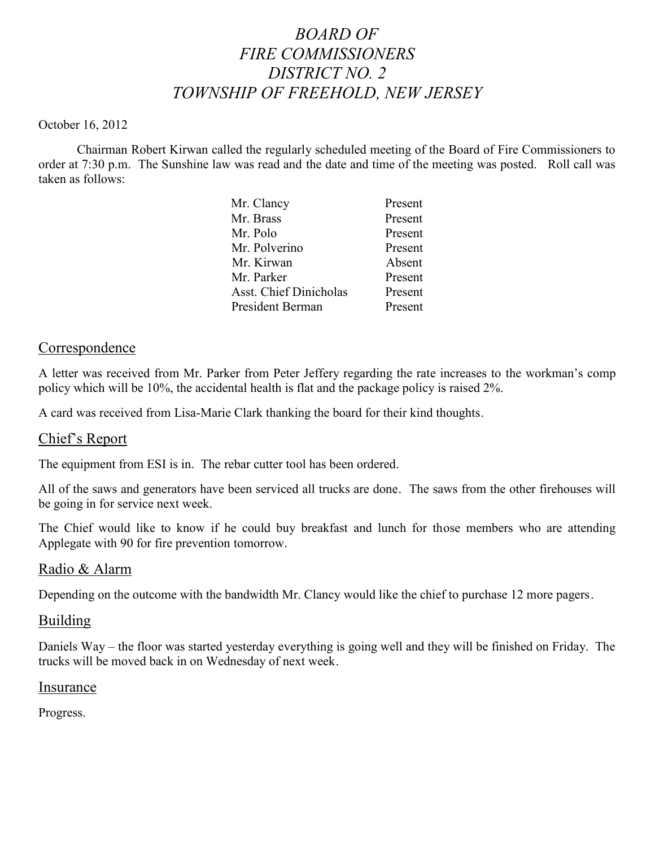# *BOARD OF FIRE COMMISSIONERS DISTRICT NO. 2 TOWNSHIP OF FREEHOLD, NEW JERSEY*

#### October 16, 2012

Chairman Robert Kirwan called the regularly scheduled meeting of the Board of Fire Commissioners to order at 7:30 p.m. The Sunshine law was read and the date and time of the meeting was posted. Roll call was taken as follows:

| Mr. Clancy                    | Present |
|-------------------------------|---------|
| Mr. Brass                     | Present |
| Mr. Polo                      | Present |
| Mr. Polverino                 | Present |
| Mr. Kirwan                    | Absent  |
| Mr. Parker                    | Present |
| <b>Asst. Chief Dinicholas</b> | Present |
| President Berman              | Present |
|                               |         |

## Correspondence

A letter was received from Mr. Parker from Peter Jeffery regarding the rate increases to the workman's comp policy which will be 10%, the accidental health is flat and the package policy is raised 2%.

A card was received from Lisa-Marie Clark thanking the board for their kind thoughts.

## Chief's Report

The equipment from ESI is in. The rebar cutter tool has been ordered.

All of the saws and generators have been serviced all trucks are done. The saws from the other firehouses will be going in for service next week.

The Chief would like to know if he could buy breakfast and lunch for those members who are attending Applegate with 90 for fire prevention tomorrow.

## Radio & Alarm

Depending on the outcome with the bandwidth Mr. Clancy would like the chief to purchase 12 more pagers.

## Building

Daniels Way – the floor was started yesterday everything is going well and they will be finished on Friday. The trucks will be moved back in on Wednesday of next week.

## Insurance

Progress.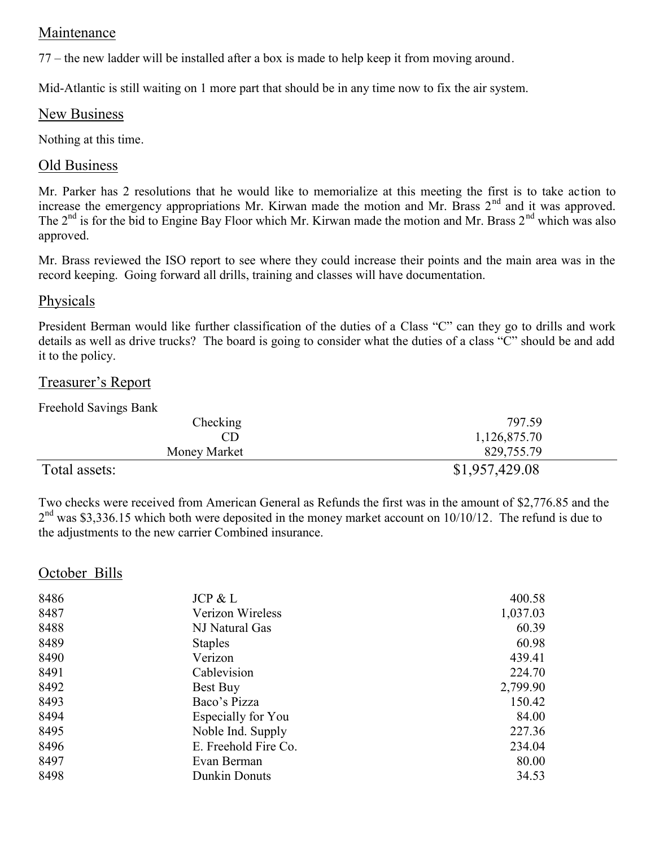# Maintenance

77 – the new ladder will be installed after a box is made to help keep it from moving around.

Mid-Atlantic is still waiting on 1 more part that should be in any time now to fix the air system.

# New Business

Nothing at this time.

## Old Business

Mr. Parker has 2 resolutions that he would like to memorialize at this meeting the first is to take action to increase the emergency appropriations Mr. Kirwan made the motion and Mr. Brass  $2<sup>nd</sup>$  and it was approved. The 2<sup>nd</sup> is for the bid to Engine Bay Floor which Mr. Kirwan made the motion and Mr. Brass 2<sup>nd</sup> which was also approved.

Mr. Brass reviewed the ISO report to see where they could increase their points and the main area was in the record keeping. Going forward all drills, training and classes will have documentation.

## Physicals

President Berman would like further classification of the duties of a Class "C" can they go to drills and work details as well as drive trucks? The board is going to consider what the duties of a class "C" should be and add it to the policy.

# Treasurer's Report

Freehold Savings Bank

| Checking      | 797.59         |
|---------------|----------------|
| CD            | 1,126,875.70   |
| Money Market  | 829,755.79     |
| Total assets: | \$1,957,429.08 |

Two checks were received from American General as Refunds the first was in the amount of \$2,776.85 and the  $2<sup>nd</sup>$  was \$3,336.15 which both were deposited in the money market account on 10/10/12. The refund is due to the adjustments to the new carrier Combined insurance.

# October Bills

| 8486 | JCP & L              | 400.58   |
|------|----------------------|----------|
| 8487 | Verizon Wireless     | 1,037.03 |
| 8488 | NJ Natural Gas       | 60.39    |
| 8489 | <b>Staples</b>       | 60.98    |
| 8490 | Verizon              | 439.41   |
| 8491 | Cablevision          | 224.70   |
| 8492 | Best Buy             | 2,799.90 |
| 8493 | Baco's Pizza         | 150.42   |
| 8494 | Especially for You   | 84.00    |
| 8495 | Noble Ind. Supply    | 227.36   |
| 8496 | E. Freehold Fire Co. | 234.04   |
| 8497 | Evan Berman          | 80.00    |
| 8498 | Dunkin Donuts        | 34.53    |